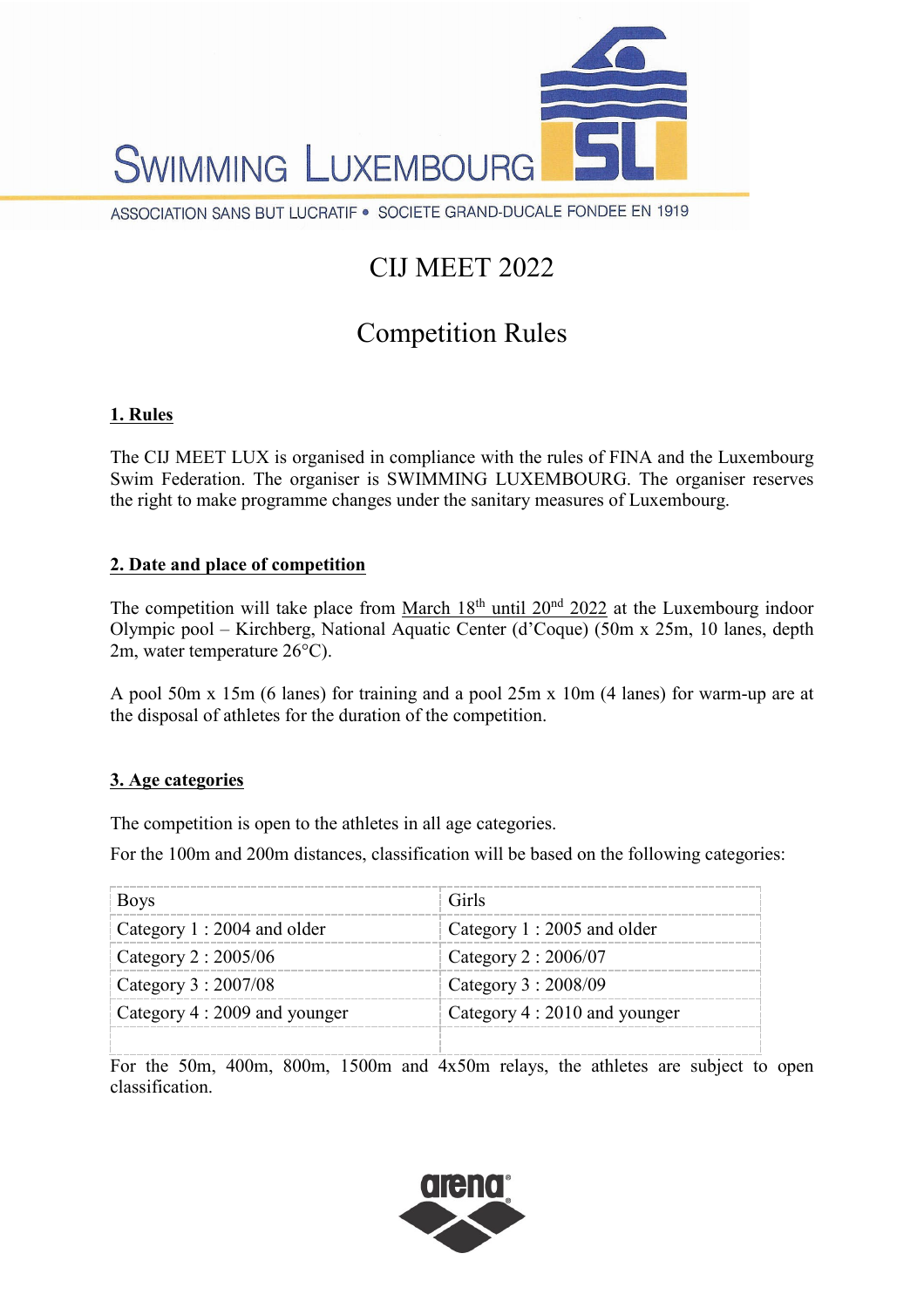

# CIJ MEET 2022

## Competition Rules

## **1. Rules**

The CIJ MEET LUX is organised in compliance with the rules of FINA and the Luxembourg Swim Federation. The organiser is SWIMMING LUXEMBOURG. The organiser reserves the right to make programme changes under the sanitary measures of Luxembourg.

#### **2. Date and place of competition**

The competition will take place from March  $18<sup>th</sup>$  until  $20<sup>nd</sup>$  2022 at the Luxembourg indoor Olympic pool – Kirchberg, National Aquatic Center (d'Coque) (50m x 25m, 10 lanes, depth 2m, water temperature 26°C).

A pool 50m x 15m (6 lanes) for training and a pool 25m x 10m (4 lanes) for warm-up are at the disposal of athletes for the duration of the competition.

## **3. Age categories**

The competition is open to the athletes in all age categories.

For the 100m and 200m distances, classification will be based on the following categories:

| <b>Boys</b>                   | Girls                         |
|-------------------------------|-------------------------------|
| Category 1 : 2004 and older   | Category 1 : 2005 and older   |
| Category 2 : 2005/06          | Category 2 : 2006/07          |
| Category 3 : 2007/08          | Category 3 : 2008/09          |
| Category 4 : 2009 and younger | Category 4 : 2010 and younger |
|                               |                               |

For the 50m, 400m, 800m, 1500m and 4x50m relays, the athletes are subject to open classification.

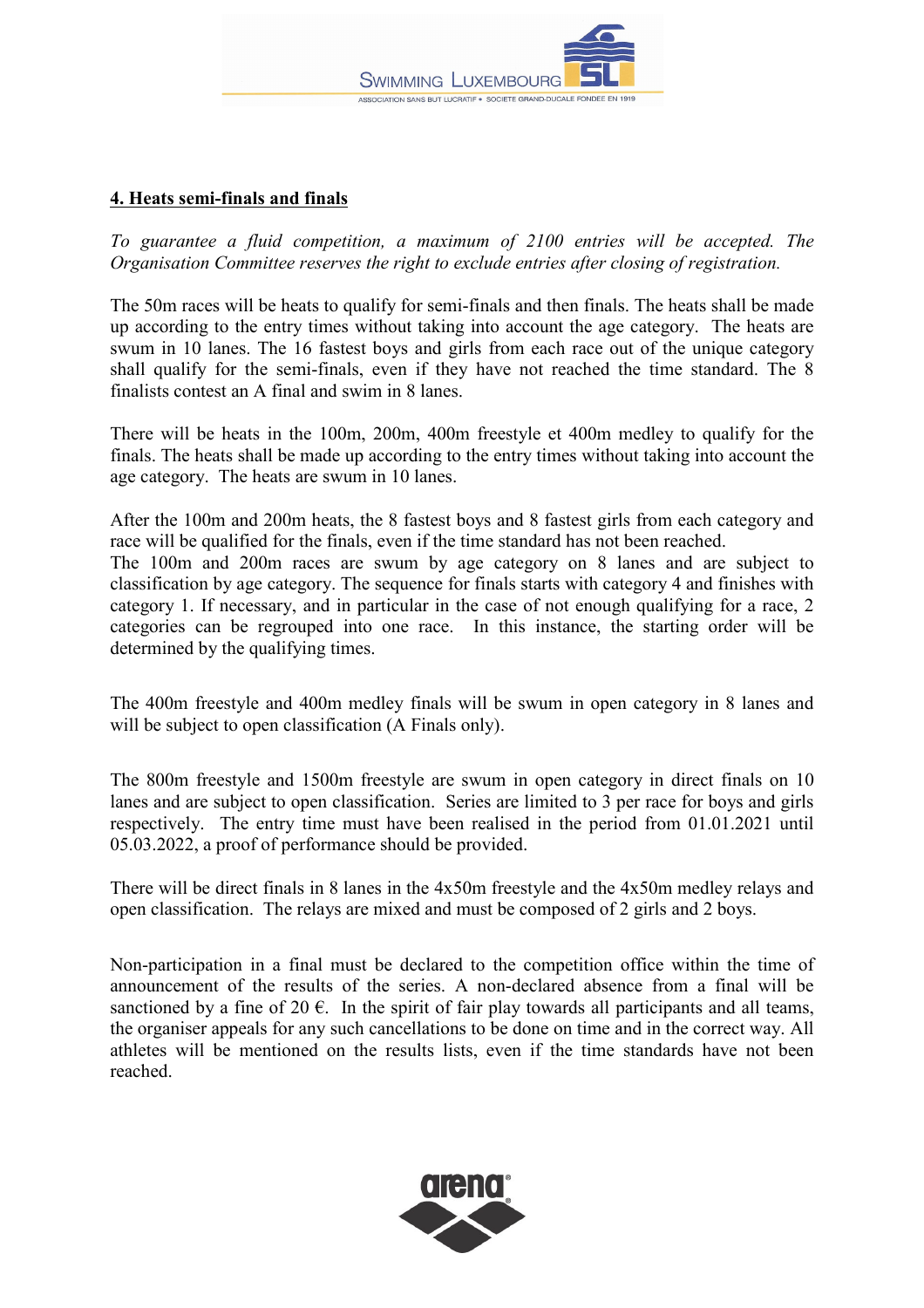

#### **4. Heats semi-finals and finals**

*To guarantee a fluid competition, a maximum of 2100 entries will be accepted. The Organisation Committee reserves the right to exclude entries after closing of registration.* 

The 50m races will be heats to qualify for semi-finals and then finals. The heats shall be made up according to the entry times without taking into account the age category. The heats are swum in 10 lanes. The 16 fastest boys and girls from each race out of the unique category shall qualify for the semi-finals, even if they have not reached the time standard. The 8 finalists contest an A final and swim in 8 lanes.

There will be heats in the 100m, 200m, 400m freestyle et 400m medley to qualify for the finals. The heats shall be made up according to the entry times without taking into account the age category. The heats are swum in 10 lanes.

After the 100m and 200m heats, the 8 fastest boys and 8 fastest girls from each category and race will be qualified for the finals, even if the time standard has not been reached. The 100m and 200m races are swum by age category on 8 lanes and are subject to classification by age category. The sequence for finals starts with category 4 and finishes with category 1. If necessary, and in particular in the case of not enough qualifying for a race, 2 categories can be regrouped into one race. In this instance, the starting order will be determined by the qualifying times.

The 400m freestyle and 400m medley finals will be swum in open category in 8 lanes and will be subject to open classification (A Finals only).

The 800m freestyle and 1500m freestyle are swum in open category in direct finals on 10 lanes and are subject to open classification. Series are limited to 3 per race for boys and girls respectively. The entry time must have been realised in the period from 01.01.2021 until 05.03.2022, a proof of performance should be provided.

There will be direct finals in 8 lanes in the 4x50m freestyle and the 4x50m medley relays and open classification. The relays are mixed and must be composed of 2 girls and 2 boys.

Non-participation in a final must be declared to the competition office within the time of announcement of the results of the series. A non-declared absence from a final will be sanctioned by a fine of 20  $\epsilon$ . In the spirit of fair play towards all participants and all teams, the organiser appeals for any such cancellations to be done on time and in the correct way. All athletes will be mentioned on the results lists, even if the time standards have not been reached.

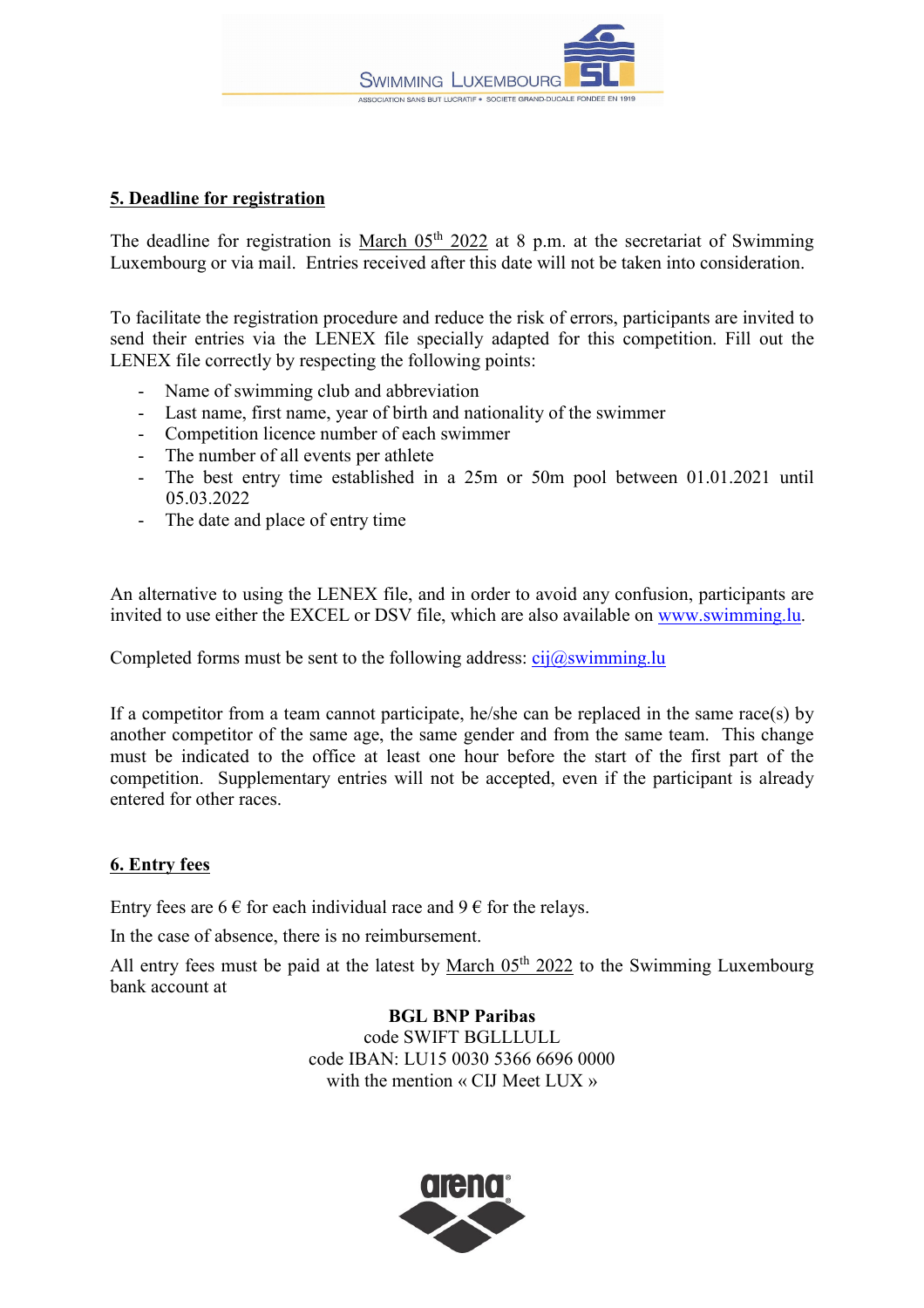

#### **5. Deadline for registration**

The deadline for registration is March  $05<sup>th</sup> 2022$  at 8 p.m. at the secretariat of Swimming Luxembourg or via mail. Entries received after this date will not be taken into consideration.

To facilitate the registration procedure and reduce the risk of errors, participants are invited to send their entries via the LENEX file specially adapted for this competition. Fill out the LENEX file correctly by respecting the following points:

- Name of swimming club and abbreviation
- Last name, first name, year of birth and nationality of the swimmer
- Competition licence number of each swimmer
- The number of all events per athlete
- The best entry time established in a 25m or 50m pool between 01.01.2021 until 05.03.2022
- The date and place of entry time

An alternative to using the LENEX file, and in order to avoid any confusion, participants are invited to use either the EXCEL or DSV file, which are also available on [www.swimming.lu.](http://www.swimming.lu/)

Completed forms must be sent to the following address:  $ci\partial s$  wimming.

If a competitor from a team cannot participate, he/she can be replaced in the same race(s) by another competitor of the same age, the same gender and from the same team. This change must be indicated to the office at least one hour before the start of the first part of the competition. Supplementary entries will not be accepted, even if the participant is already entered for other races.

#### **6. Entry fees**

Entry fees are 6  $\epsilon$  for each individual race and 9  $\epsilon$  for the relays.

In the case of absence, there is no reimbursement.

All entry fees must be paid at the latest by March  $05<sup>th</sup> 2022$  to the Swimming Luxembourg bank account at

> **BGL BNP Paribas** code SWIFT BGLLLULL code IBAN: LU15 0030 5366 6696 0000 with the mention « CIJ Meet LUX »

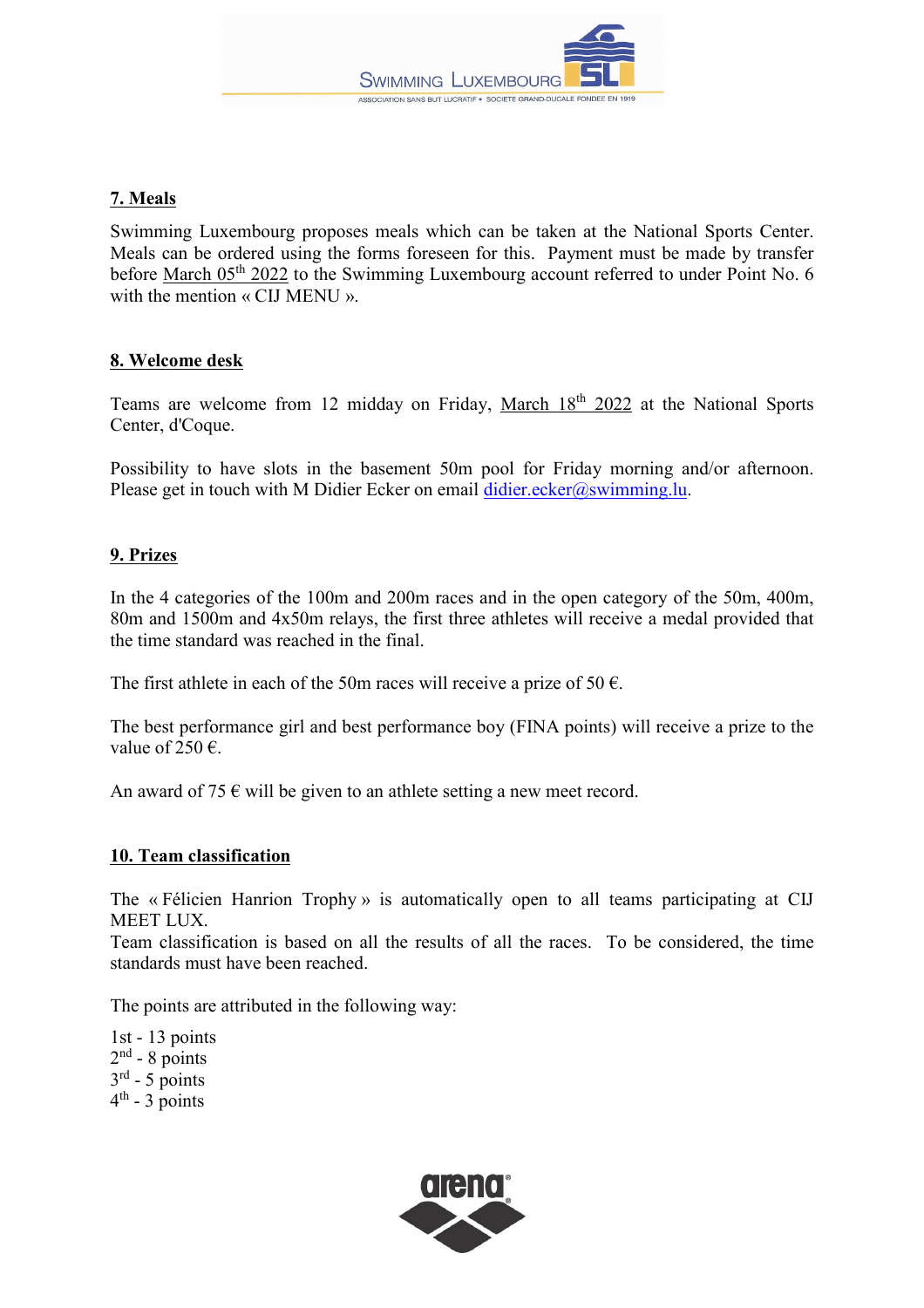

## **7. Meals**

Swimming Luxembourg proposes meals which can be taken at the National Sports Center. Meals can be ordered using the forms foreseen for this. Payment must be made by transfer before March 05<sup>th</sup> 2022 to the Swimming Luxembourg account referred to under Point No. 6 with the mention « CIJ MENU ».

#### **8. Welcome desk**

Teams are welcome from 12 midday on Friday, March 18<sup>th</sup> 2022 at the National Sports Center, d'Coque.

Possibility to have slots in the basement 50m pool for Friday morning and/or afternoon. Please get in touch with M Didier Ecker on email [didier.ecker@swimming.lu.](mailto:didier.ecker@swimming.lu)

#### **9. Prizes**

In the 4 categories of the 100m and 200m races and in the open category of the 50m, 400m, 80m and 1500m and 4x50m relays, the first three athletes will receive a medal provided that the time standard was reached in the final.

The first athlete in each of the 50m races will receive a prize of 50  $\epsilon$ .

The best performance girl and best performance boy (FINA points) will receive a prize to the value of 250  $\epsilon$ .

An award of 75  $\epsilon$  will be given to an athlete setting a new meet record.

#### **10. Team classification**

The « Félicien Hanrion Trophy » is automatically open to all teams participating at CIJ MEET LUX.

Team classification is based on all the results of all the races. To be considered, the time standards must have been reached.

The points are attributed in the following way:

1st - 13 points  $2<sup>nd</sup>$  - 8 points  $3<sup>rd</sup> - 5$  points  $4<sup>th</sup>$  - 3 points